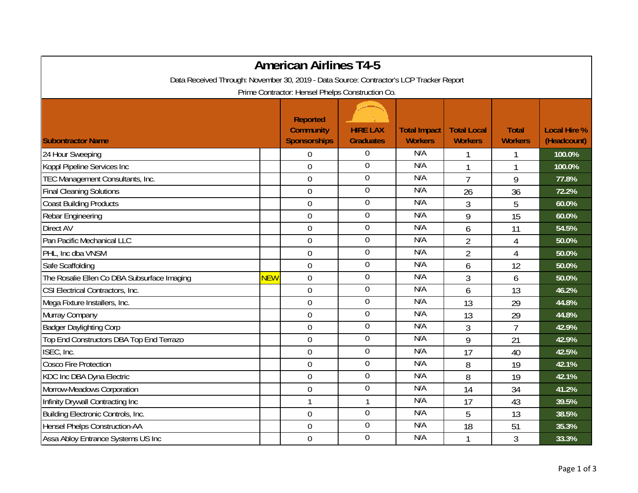|                                                                                         |            | <b>American Airlines T4-5</b>                              |                                     |                                       |                                      |                                |                                    |
|-----------------------------------------------------------------------------------------|------------|------------------------------------------------------------|-------------------------------------|---------------------------------------|--------------------------------------|--------------------------------|------------------------------------|
| Data Received Through: November 30, 2019 - Data Source: Contractor's LCP Tracker Report |            |                                                            |                                     |                                       |                                      |                                |                                    |
|                                                                                         |            | Prime Contractor: Hensel Phelps Construction Co.           |                                     |                                       |                                      |                                |                                    |
| <b>Subontractor Name</b>                                                                |            | <b>Reported</b><br><b>Community</b><br><b>Sponsorships</b> | <b>HIRE LAX</b><br><b>Graduates</b> | <b>Total Impact</b><br><b>Workers</b> | <b>Total Local</b><br><b>Workers</b> | <b>Total</b><br><b>Workers</b> | <b>Local Hire %</b><br>(Headcount) |
| 24 Hour Sweeping                                                                        |            | $\Omega$                                                   | $\boldsymbol{0}$                    | N/A                                   |                                      |                                | 100.0%                             |
| Koppl Pipeline Services Inc                                                             |            | $\mathbf 0$                                                | $\overline{0}$                      | N/A                                   |                                      |                                | 100.0%                             |
| TEC Management Consultants, Inc.                                                        |            | $\mathbf 0$                                                | $\boldsymbol{0}$                    | N/A                                   | $\overline{7}$                       | 9                              | 77.8%                              |
| <b>Final Cleaning Solutions</b>                                                         |            | $\mathbf 0$                                                | $\mathbf 0$                         | N/A                                   | 26                                   | 36                             | 72.2%                              |
| <b>Coast Building Products</b>                                                          |            | $\boldsymbol{0}$                                           | $\overline{0}$                      | N/A                                   | 3                                    | 5                              | 60.0%                              |
| Rebar Engineering                                                                       |            | $\overline{0}$                                             | $\boldsymbol{0}$                    | N/A                                   | 9                                    | 15                             | 60.0%                              |
| Direct AV                                                                               |            | $\mathbf 0$                                                | $\boldsymbol{0}$                    | N/A                                   | 6                                    | 11                             | 54.5%                              |
| Pan Pacific Mechanical LLC                                                              |            | $\overline{0}$                                             | $\mathbf 0$                         | N/A                                   | $\overline{2}$                       | $\overline{4}$                 | 50.0%                              |
| PHL, Inc dba VNSM                                                                       |            | $\overline{0}$                                             | $\overline{0}$                      | N/A                                   | $\overline{2}$                       | $\overline{4}$                 | 50.0%                              |
| Safe Scaffolding                                                                        |            | $\mathbf 0$                                                | $\boldsymbol{0}$                    | N/A                                   | 6                                    | 12                             | 50.0%                              |
| The Rosalie Ellen Co DBA Subsurface Imaging                                             | <b>NEW</b> | $\overline{0}$                                             | $\boldsymbol{0}$                    | N/A                                   | 3                                    | 6                              | 50.0%                              |
| CSI Electrical Contractors, Inc.                                                        |            | $\overline{0}$                                             | $\boldsymbol{0}$                    | N/A                                   | 6                                    | 13                             | 46.2%                              |
| Mega Fixture Installers, Inc.                                                           |            | $\mathbf 0$                                                | $\mathbf 0$                         | N/A                                   | 13                                   | 29                             | 44.8%                              |
| Murray Company                                                                          |            | 0                                                          | $\mathbf 0$                         | N/A                                   | 13                                   | 29                             | 44.8%                              |
| <b>Badger Daylighting Corp</b>                                                          |            | $\mathbf 0$                                                | $\overline{0}$                      | N/A                                   | 3                                    | $\overline{7}$                 | 42.9%                              |
| Top End Constructors DBA Top End Terrazo                                                |            | $\mathbf 0$                                                | $\boldsymbol{0}$                    | N/A                                   | 9                                    | 21                             | 42.9%                              |
| ISEC, Inc.                                                                              |            | $\mathbf 0$                                                | $\boldsymbol{0}$                    | N/A                                   | 17                                   | 40                             | 42.5%                              |
| Cosco Fire Protection                                                                   |            | $\mathbf 0$                                                | $\overline{0}$                      | N/A                                   | 8                                    | 19                             | 42.1%                              |
| KDC Inc DBA Dyna Electric                                                               |            | $\mathbf 0$                                                | $\boldsymbol{0}$                    | N/A                                   | 8                                    | 19                             | 42.1%                              |
| Morrow-Meadows Corporation                                                              |            | $\overline{0}$                                             | $\mathbf 0$                         | N/A                                   | 14                                   | 34                             | 41.2%                              |
| Infinity Drywall Contracting Inc                                                        |            | $\mathbf{1}$                                               | $\mathbf{1}$                        | N/A                                   | 17                                   | 43                             | 39.5%                              |
| Building Electronic Controls, Inc.                                                      |            | $\mathbf 0$                                                | $\boldsymbol{0}$                    | N/A                                   | 5                                    | 13                             | 38.5%                              |
| Hensel Phelps Construction-AA                                                           |            | $\overline{0}$                                             | $\boldsymbol{0}$                    | N/A                                   | 18                                   | 51                             | 35.3%                              |
| Assa Abloy Entrance Systems US Inc                                                      |            | $\mathbf 0$                                                | $\overline{0}$                      | N/A                                   |                                      | 3                              | 33.3%                              |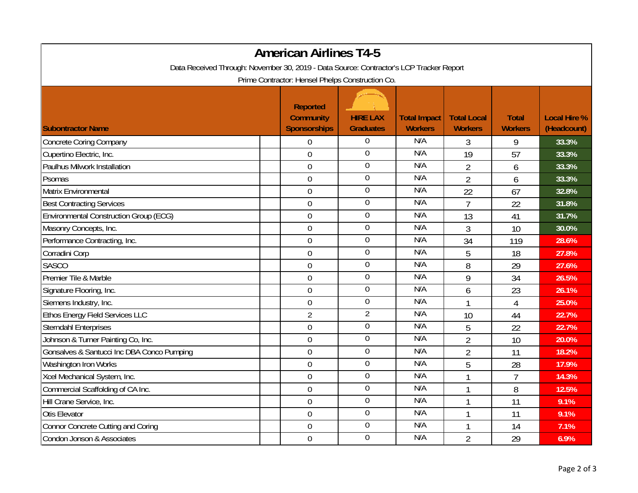| <b>American Airlines T4-5</b>                                                           |                                                            |                                     |                                       |                                      |                                |                                    |  |  |
|-----------------------------------------------------------------------------------------|------------------------------------------------------------|-------------------------------------|---------------------------------------|--------------------------------------|--------------------------------|------------------------------------|--|--|
| Data Received Through: November 30, 2019 - Data Source: Contractor's LCP Tracker Report |                                                            |                                     |                                       |                                      |                                |                                    |  |  |
| Prime Contractor: Hensel Phelps Construction Co.                                        |                                                            |                                     |                                       |                                      |                                |                                    |  |  |
| <b>Subontractor Name</b>                                                                | <b>Reported</b><br><b>Community</b><br><b>Sponsorships</b> | <b>HIRE LAX</b><br><b>Graduates</b> | <b>Total Impact</b><br><b>Workers</b> | <b>Total Local</b><br><b>Workers</b> | <b>Total</b><br><b>Workers</b> | <b>Local Hire %</b><br>(Headcount) |  |  |
| <b>Concrete Coring Company</b>                                                          | $\boldsymbol{0}$                                           | $\boldsymbol{0}$                    | N/A                                   | 3                                    | 9                              | 33.3%                              |  |  |
| Cupertino Electric, Inc.                                                                | $\overline{0}$                                             | $\boldsymbol{0}$                    | N/A                                   | 19                                   | 57                             | 33.3%                              |  |  |
| Paulhus Milwork Installation                                                            | $\boldsymbol{0}$                                           | $\boldsymbol{0}$                    | N/A                                   | $\overline{2}$                       | 6                              | 33.3%                              |  |  |
| Psomas                                                                                  | $\boldsymbol{0}$                                           | $\boldsymbol{0}$                    | N/A                                   | $\overline{2}$                       | 6                              | 33.3%                              |  |  |
| Matrix Environmental                                                                    | $\overline{0}$                                             | $\mathbf 0$                         | N/A                                   | 22                                   | 67                             | 32.8%                              |  |  |
| <b>Best Contracting Services</b>                                                        | $\boldsymbol{0}$                                           | $\overline{0}$                      | N/A                                   | $\overline{7}$                       | 22                             | 31.8%                              |  |  |
| <b>Environmental Construction Group (ECG)</b>                                           | $\boldsymbol{0}$                                           | $\boldsymbol{0}$                    | N/A                                   | 13                                   | 41                             | 31.7%                              |  |  |
| Masonry Concepts, Inc.                                                                  | $\boldsymbol{0}$                                           | $\boldsymbol{0}$                    | N/A                                   | 3                                    | 10                             | 30.0%                              |  |  |
| Performance Contracting, Inc.                                                           | $\mathbf 0$                                                | $\mathbf 0$                         | N/A                                   | 34                                   | 119                            | 28.6%                              |  |  |
| Corradini Corp                                                                          | $\boldsymbol{0}$                                           | $\boldsymbol{0}$                    | N/A                                   | 5                                    | 18                             | 27.8%                              |  |  |
| <b>SASCO</b>                                                                            | $\boldsymbol{0}$                                           | $\boldsymbol{0}$                    | N/A                                   | 8                                    | 29                             | 27.6%                              |  |  |
| Premier Tile & Marble                                                                   | $\mathbf 0$                                                | $\boldsymbol{0}$                    | N/A                                   | 9                                    | 34                             | 26.5%                              |  |  |
| Signature Flooring, Inc.                                                                | $\mathbf 0$                                                | $\boldsymbol{0}$                    | N/A                                   | 6                                    | 23                             | 26.1%                              |  |  |
| Siemens Industry, Inc.                                                                  | $\boldsymbol{0}$                                           | $\boldsymbol{0}$                    | N/A                                   |                                      | $\overline{4}$                 | 25.0%                              |  |  |
| <b>Ethos Energy Field Services LLC</b>                                                  | $\overline{2}$                                             | $\overline{2}$                      | N/A                                   | 10                                   | 44                             | 22.7%                              |  |  |
| <b>Sterndahl Enterprises</b>                                                            | $\mathbf 0$                                                | $\boldsymbol{0}$                    | N/A                                   | 5                                    | 22                             | 22.7%                              |  |  |
| Johnson & Turner Painting Co, Inc.                                                      | $\mathbf 0$                                                | $\overline{0}$                      | N/A                                   | $\overline{2}$                       | 10                             | 20.0%                              |  |  |
| Gonsalves & Santucci Inc DBA Conco Pumping                                              | $\overline{0}$                                             | $\mathbf 0$                         | N/A                                   | $\overline{2}$                       | 11                             | 18.2%                              |  |  |
| Washington Iron Works                                                                   | $\boldsymbol{0}$                                           | $\mathbf 0$                         | N/A                                   | 5                                    | 28                             | 17.9%                              |  |  |
| Xcel Mechanical System, Inc.                                                            | $\boldsymbol{0}$                                           | $\mathbf 0$                         | N/A                                   |                                      | $\overline{1}$                 | 14.3%                              |  |  |
| Commercial Scaffolding of CA Inc.                                                       | $\boldsymbol{0}$                                           | $\boldsymbol{0}$                    | N/A                                   |                                      | 8                              | 12.5%                              |  |  |
| Hill Crane Service, Inc.                                                                | $\boldsymbol{0}$                                           | $\boldsymbol{0}$                    | N/A                                   |                                      | 11                             | 9.1%                               |  |  |
| Otis Elevator                                                                           | $\mathbf 0$                                                | $\boldsymbol{0}$                    | N/A                                   | 1                                    | 11                             | 9.1%                               |  |  |
| <b>Connor Concrete Cutting and Coring</b>                                               | $\mathbf 0$                                                | $\overline{0}$                      | N/A                                   |                                      | 14                             | $7.1\%$                            |  |  |
| Condon Jonson & Associates                                                              | $\mathbf 0$                                                | $\boldsymbol{0}$                    | N/A                                   | $\overline{2}$                       | 29                             | 6.9%                               |  |  |